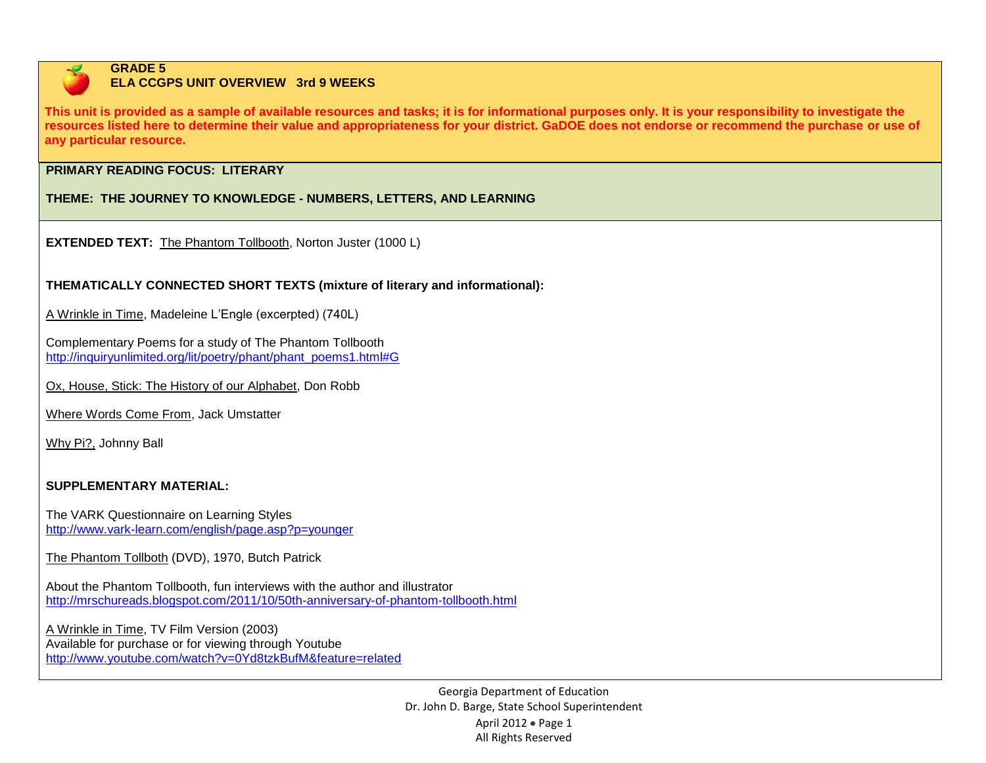

#### **GRADE 5 ELA CCGPS UNIT OVERVIEW 3rd 9 WEEKS**

**This unit is provided as a sample of available resources and tasks; it is for informational purposes only. It is your responsibility to investigate the resources listed here to determine their value and appropriateness for your district. GaDOE does not endorse or recommend the purchase or use of any particular resource.**

## **PRIMARY READING FOCUS: LITERARY**

**THEME: THE JOURNEY TO KNOWLEDGE - NUMBERS, LETTERS, AND LEARNING**

**EXTENDED TEXT:** The Phantom Tollbooth, Norton Juster (1000 L)

**THEMATICALLY CONNECTED SHORT TEXTS (mixture of literary and informational):**

A Wrinkle in Time, Madeleine L'Engle (excerpted) (740L)

Complementary Poems for a study of The Phantom Tollbooth [http://inquiryunlimited.org/lit/poetry/phant/phant\\_poems1.html#G](http://inquiryunlimited.org/lit/poetry/phant/phant_poems1.html#G)

Ox, House, Stick: The History of our Alphabet, Don Robb

Where Words Come From, Jack Umstatter

Why Pi?, Johnny Ball

# **SUPPLEMENTARY MATERIAL:**

The VARK Questionnaire on Learning Styles <http://www.vark-learn.com/english/page.asp?p=younger>

The Phantom Tollboth (DVD), 1970, Butch Patrick

About the Phantom Tollbooth, fun interviews with the author and illustrator <http://mrschureads.blogspot.com/2011/10/50th-anniversary-of-phantom-tollbooth.html>

A Wrinkle in Time, TV Film Version (2003) Available for purchase or for viewing through Youtube <http://www.youtube.com/watch?v=0Yd8tzkBufM&feature=related>

> Georgia Department of Education Dr. John D. Barge, State School Superintendent April 2012 · Page 1 All Rights Reserved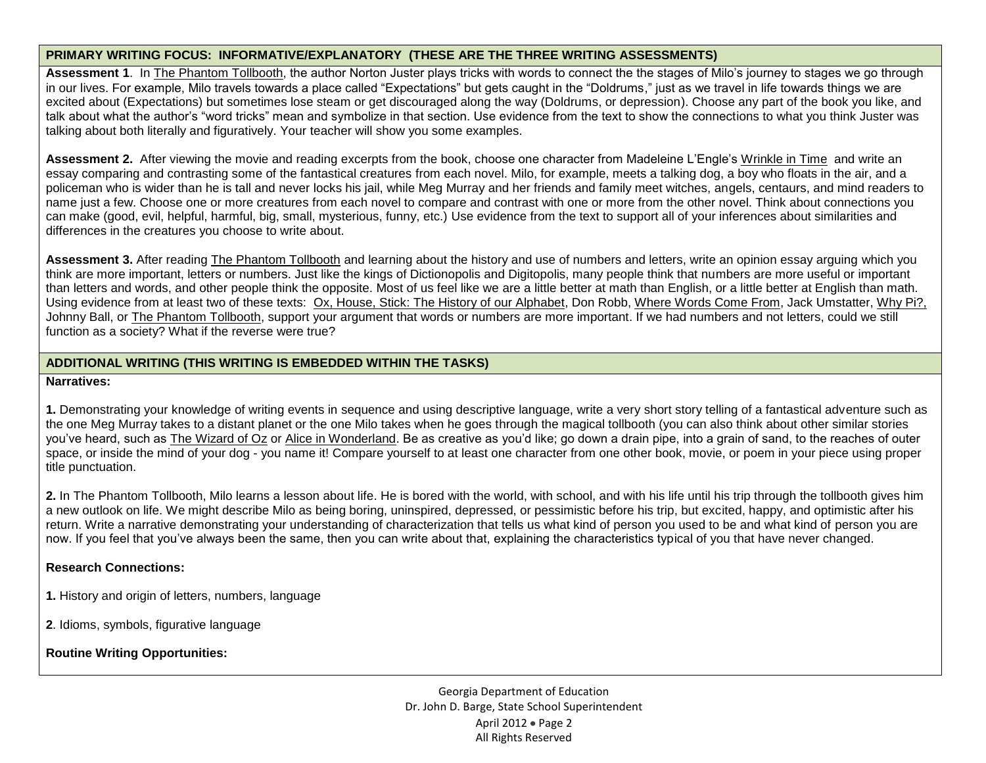### **PRIMARY WRITING FOCUS: INFORMATIVE/EXPLANATORY (THESE ARE THE THREE WRITING ASSESSMENTS)**

Assessment 1. In The Phantom Tollbooth, the author Norton Juster plays tricks with words to connect the the stages of Milo's journey to stages we go through in our lives. For example, Milo travels towards a place called "Expectations" but gets caught in the "Doldrums," just as we travel in life towards things we are excited about (Expectations) but sometimes lose steam or get discouraged along the way (Doldrums, or depression). Choose any part of the book you like, and talk about what the author's "word tricks" mean and symbolize in that section. Use evidence from the text to show the connections to what you think Juster was talking about both literally and figuratively. Your teacher will show you some examples.

**Assessment 2.** After viewing the movie and reading excerpts from the book, choose one character from Madeleine L'Engle's Wrinkle in Time and write an essay comparing and contrasting some of the fantastical creatures from each novel. Milo, for example, meets a talking dog, a boy who floats in the air, and a policeman who is wider than he is tall and never locks his jail, while Meg Murray and her friends and family meet witches, angels, centaurs, and mind readers to name just a few. Choose one or more creatures from each novel to compare and contrast with one or more from the other novel. Think about connections you can make (good, evil, helpful, harmful, big, small, mysterious, funny, etc.) Use evidence from the text to support all of your inferences about similarities and differences in the creatures you choose to write about.

**Assessment 3.** After reading The Phantom Tollbooth and learning about the history and use of numbers and letters, write an opinion essay arguing which you think are more important, letters or numbers. Just like the kings of Dictionopolis and Digitopolis, many people think that numbers are more useful or important than letters and words, and other people think the opposite. Most of us feel like we are a little better at math than English, or a little better at English than math. Using evidence from at least two of these texts: Ox, House, Stick: The History of our Alphabet, Don Robb, Where Words Come From, Jack Umstatter, Why Pi?, Johnny Ball, or The Phantom Tollbooth, support your argument that words or numbers are more important. If we had numbers and not letters, could we still function as a society? What if the reverse were true?

## **ADDITIONAL WRITING (THIS WRITING IS EMBEDDED WITHIN THE TASKS)**

#### **Narratives:**

**1.** Demonstrating your knowledge of writing events in sequence and using descriptive language, write a very short story telling of a fantastical adventure such as the one Meg Murray takes to a distant planet or the one Milo takes when he goes through the magical tollbooth (you can also think about other similar stories you've heard, such as The Wizard of Oz or Alice in Wonderland. Be as creative as you'd like; go down a drain pipe, into a grain of sand, to the reaches of outer space, or inside the mind of your dog - you name it! Compare yourself to at least one character from one other book, movie, or poem in your piece using proper title punctuation.

**2.** In The Phantom Tollbooth, Milo learns a lesson about life. He is bored with the world, with school, and with his life until his trip through the tollbooth gives him a new outlook on life. We might describe Milo as being boring, uninspired, depressed, or pessimistic before his trip, but excited, happy, and optimistic after his return. Write a narrative demonstrating your understanding of characterization that tells us what kind of person you used to be and what kind of person you are now. If you feel that you've always been the same, then you can write about that, explaining the characteristics typical of you that have never changed.

### **Research Connections:**

- **1.** History and origin of letters, numbers, language
- **2**. Idioms, symbols, figurative language

**Routine Writing Opportunities:**

Georgia Department of Education Dr. John D. Barge, State School Superintendent April  $2012 \cdot \text{Page } 2$ All Rights Reserved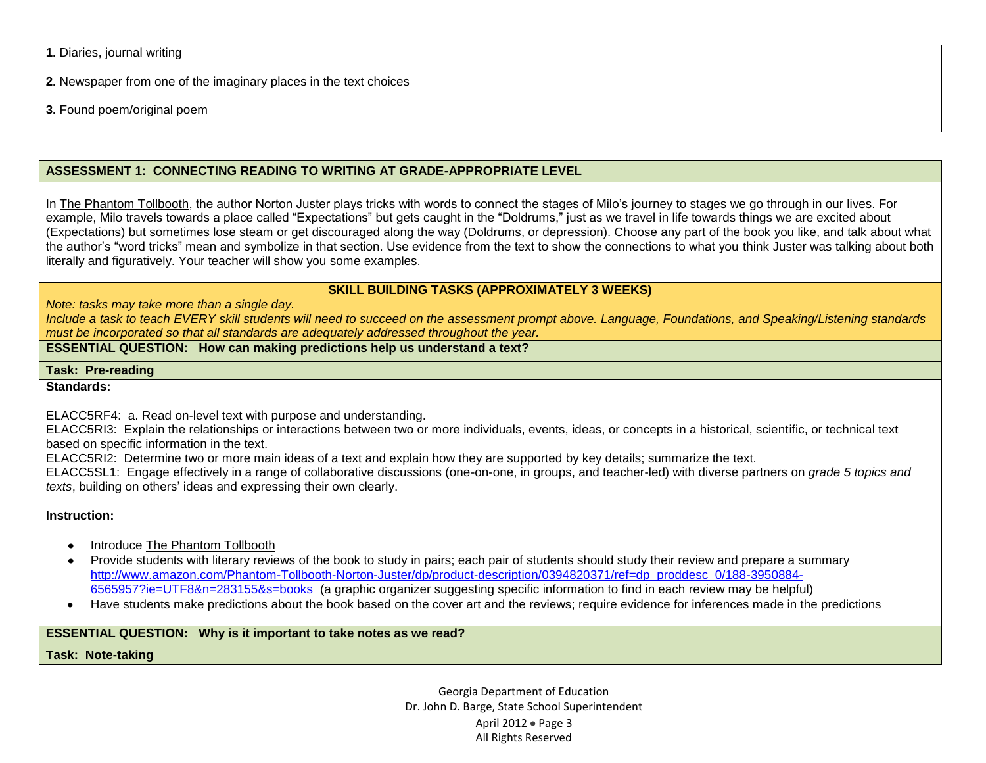**1.** Diaries, journal writing

**2.** Newspaper from one of the imaginary places in the text choices

**3.** Found poem/original poem

# **ASSESSMENT 1: CONNECTING READING TO WRITING AT GRADE-APPROPRIATE LEVEL**

In The Phantom Tollbooth, the author Norton Juster plays tricks with words to connect the stages of Milo's journey to stages we go through in our lives. For example, Milo travels towards a place called "Expectations" but gets caught in the "Doldrums," just as we travel in life towards things we are excited about (Expectations) but sometimes lose steam or get discouraged along the way (Doldrums, or depression). Choose any part of the book you like, and talk about what the author's "word tricks" mean and symbolize in that section. Use evidence from the text to show the connections to what you think Juster was talking about both literally and figuratively. Your teacher will show you some examples.

# **SKILL BUILDING TASKS (APPROXIMATELY 3 WEEKS)**

*Note: tasks may take more than a single day.* 

*Include a task to teach EVERY skill students will need to succeed on the assessment prompt above. Language, Foundations, and Speaking/Listening standards must be incorporated so that all standards are adequately addressed throughout the year.* 

**ESSENTIAL QUESTION: How can making predictions help us understand a text?** 

**Task: Pre-reading**

**Standards:**

ELACC5RF4: a. Read on-level text with purpose and understanding.

ELACC5RI3: Explain the relationships or interactions between two or more individuals, events, ideas, or concepts in a historical, scientific, or technical text based on specific information in the text.

ELACC5RI2: Determine two or more main ideas of a text and explain how they are supported by key details; summarize the text.

ELACC5SL1: Engage effectively in a range of collaborative discussions (one-on-one, in groups, and teacher-led) with diverse partners on *grade 5 topics and texts*, building on others' ideas and expressing their own clearly.

# **Instruction:**

- Introduce The Phantom Tollbooth
- Provide students with literary reviews of the book to study in pairs; each pair of students should study their review and prepare a summary [http://www.amazon.com/Phantom-Tollbooth-Norton-Juster/dp/product-description/0394820371/ref=dp\\_proddesc\\_0/188-3950884-](http://www.amazon.com/Phantom-Tollbooth-Norton-Juster/dp/product-description/0394820371/ref=dp_proddesc_0/188-3950884-6565957?ie=UTF8&n=283155&s=books) [6565957?ie=UTF8&n=283155&s=books](http://www.amazon.com/Phantom-Tollbooth-Norton-Juster/dp/product-description/0394820371/ref=dp_proddesc_0/188-3950884-6565957?ie=UTF8&n=283155&s=books) (a graphic organizer suggesting specific information to find in each review may be helpful)
- Have students make predictions about the book based on the cover art and the reviews; require evidence for inferences made in the predictions

# **ESSENTIAL QUESTION: Why is it important to take notes as we read?**

**Task: Note-taking**

Georgia Department of Education Dr. John D. Barge, State School Superintendent April 2012 • Page 3 All Rights Reserved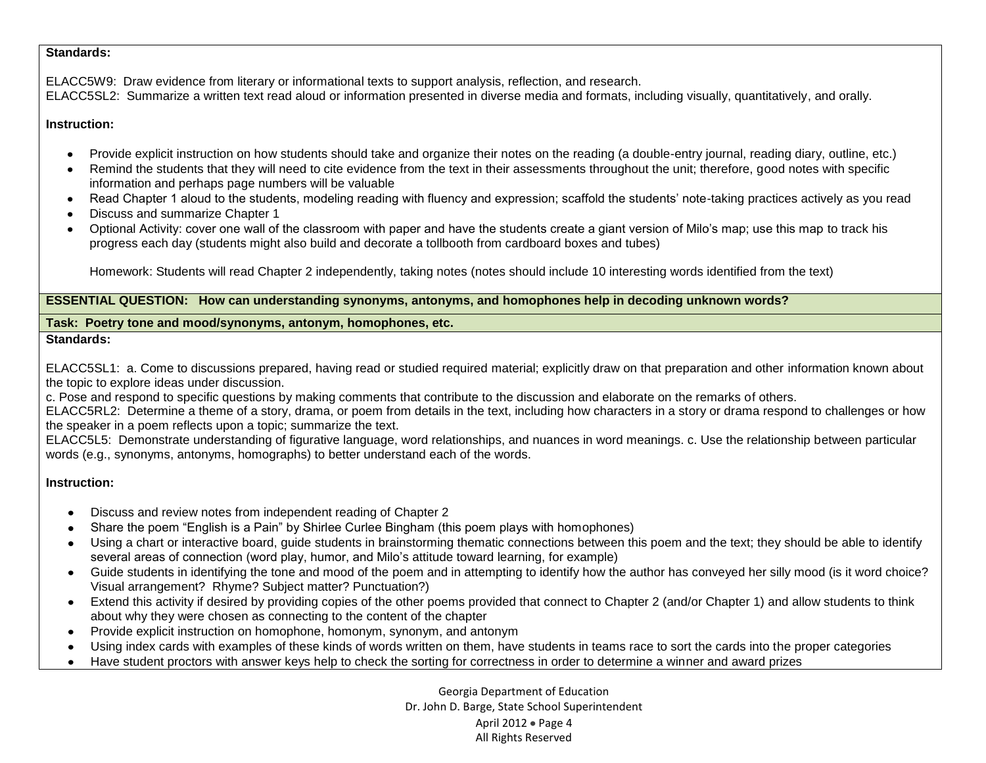#### **Standards:**

ELACC5W9: Draw evidence from literary or informational texts to support analysis, reflection, and research. ELACC5SL2:Summarize a written text read aloud or information presented in diverse media and formats, including visually, quantitatively, and orally.

## **Instruction:**

- Provide explicit instruction on how students should take and organize their notes on the reading (a double-entry journal, reading diary, outline, etc.)
- Remind the students that they will need to cite evidence from the text in their assessments throughout the unit; therefore, good notes with specific information and perhaps page numbers will be valuable
- Read Chapter 1 aloud to the students, modeling reading with fluency and expression; scaffold the students' note-taking practices actively as you read
- Discuss and summarize Chapter 1
- Optional Activity: cover one wall of the classroom with paper and have the students create a giant version of Milo's map; use this map to track his progress each day (students might also build and decorate a tollbooth from cardboard boxes and tubes)

Homework: Students will read Chapter 2 independently, taking notes (notes should include 10 interesting words identified from the text)

## **ESSENTIAL QUESTION: How can understanding synonyms, antonyms, and homophones help in decoding unknown words?**

# **Task: Poetry tone and mood/synonyms, antonym, homophones, etc.**

## **Standards:**

ELACC5SL1: a. Come to discussions prepared, having read or studied required material; explicitly draw on that preparation and other information known about the topic to explore ideas under discussion.

c. Pose and respond to specific questions by making comments that contribute to the discussion and elaborate on the remarks of others.

ELACC5RL2: Determine a theme of a story, drama, or poem from details in the text, including how characters in a story or drama respond to challenges or how the speaker in a poem reflects upon a topic; summarize the text.

ELACC5L5: Demonstrate understanding of figurative language, word relationships, and nuances in word meanings. c. Use the relationship between particular words (e.g., synonyms, antonyms, homographs) to better understand each of the words.

# **Instruction:**

- Discuss and review notes from independent reading of Chapter 2  $\bullet$
- Share the poem "English is a Pain" by Shirlee Curlee Bingham (this poem plays with homophones)
- Using a chart or interactive board, guide students in brainstorming thematic connections between this poem and the text; they should be able to identify  $\bullet$ several areas of connection (word play, humor, and Milo's attitude toward learning, for example)
- Guide students in identifying the tone and mood of the poem and in attempting to identify how the author has conveyed her silly mood (is it word choice? Visual arrangement? Rhyme? Subject matter? Punctuation?)
- Extend this activity if desired by providing copies of the other poems provided that connect to Chapter 2 (and/or Chapter 1) and allow students to think about why they were chosen as connecting to the content of the chapter
- Provide explicit instruction on homophone, homonym, synonym, and antonym  $\bullet$
- Using index cards with examples of these kinds of words written on them, have students in teams race to sort the cards into the proper categories  $\bullet$
- $\bullet$ Have student proctors with answer keys help to check the sorting for correctness in order to determine a winner and award prizes

Georgia Department of Education Dr. John D. Barge, State School Superintendent April 2012  $\bullet$  Page 4 All Rights Reserved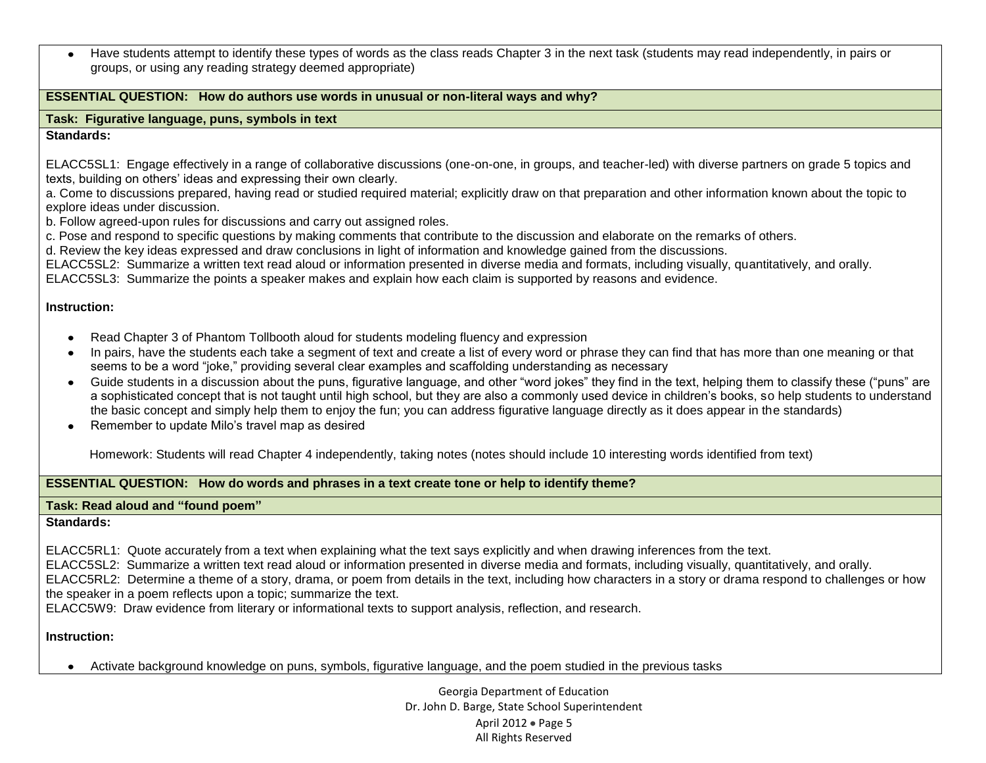Have students attempt to identify these types of words as the class reads Chapter 3 in the next task (students may read independently, in pairs or groups, or using any reading strategy deemed appropriate)

### **ESSENTIAL QUESTION: How do authors use words in unusual or non-literal ways and why?**

## **Task: Figurative language, puns, symbols in text**

## **Standards:**

ELACC5SL1: Engage effectively in a range of collaborative discussions (one-on-one, in groups, and teacher-led) with diverse partners on grade 5 topics and texts, building on others' ideas and expressing their own clearly.

a. Come to discussions prepared, having read or studied required material; explicitly draw on that preparation and other information known about the topic to explore ideas under discussion.

b. Follow agreed-upon rules for discussions and carry out assigned roles.

c. Pose and respond to specific questions by making comments that contribute to the discussion and elaborate on the remarks of others.

d. Review the key ideas expressed and draw conclusions in light of information and knowledge gained from the discussions.

ELACC5SL2: Summarize a written text read aloud or information presented in diverse media and formats, including visually, quantitatively, and orally.

ELACC5SL3: Summarize the points a speaker makes and explain how each claim is supported by reasons and evidence.

### **Instruction:**

- Read Chapter 3 of Phantom Tollbooth aloud for students modeling fluency and expression
- In pairs, have the students each take a segment of text and create a list of every word or phrase they can find that has more than one meaning or that seems to be a word "joke," providing several clear examples and scaffolding understanding as necessary
- Guide students in a discussion about the puns, figurative language, and other "word jokes" they find in the text, helping them to classify these ("puns" are a sophisticated concept that is not taught until high school, but they are also a commonly used device in children's books, so help students to understand the basic concept and simply help them to enjoy the fun; you can address figurative language directly as it does appear in the standards)
- $\bullet$ Remember to update Milo's travel map as desired

Homework: Students will read Chapter 4 independently, taking notes (notes should include 10 interesting words identified from text)

### **ESSENTIAL QUESTION: How do words and phrases in a text create tone or help to identify theme?**

### **Task: Read aloud and "found poem"**

## **Standards:**

ELACC5RL1: Quote accurately from a text when explaining what the text says explicitly and when drawing inferences from the text.

ELACC5SL2: Summarize a written text read aloud or information presented in diverse media and formats, including visually, quantitatively, and orally.

ELACC5RL2: Determine a theme of a story, drama, or poem from details in the text, including how characters in a story or drama respond to challenges or how the speaker in a poem reflects upon a topic; summarize the text.

ELACC5W9: Draw evidence from literary or informational texts to support analysis, reflection, and research.

## **Instruction:**

Activate background knowledge on puns, symbols, figurative language, and the poem studied in the previous tasks

Georgia Department of Education Dr. John D. Barge, State School Superintendent April 2012  $\bullet$  Page 5 All Rights Reserved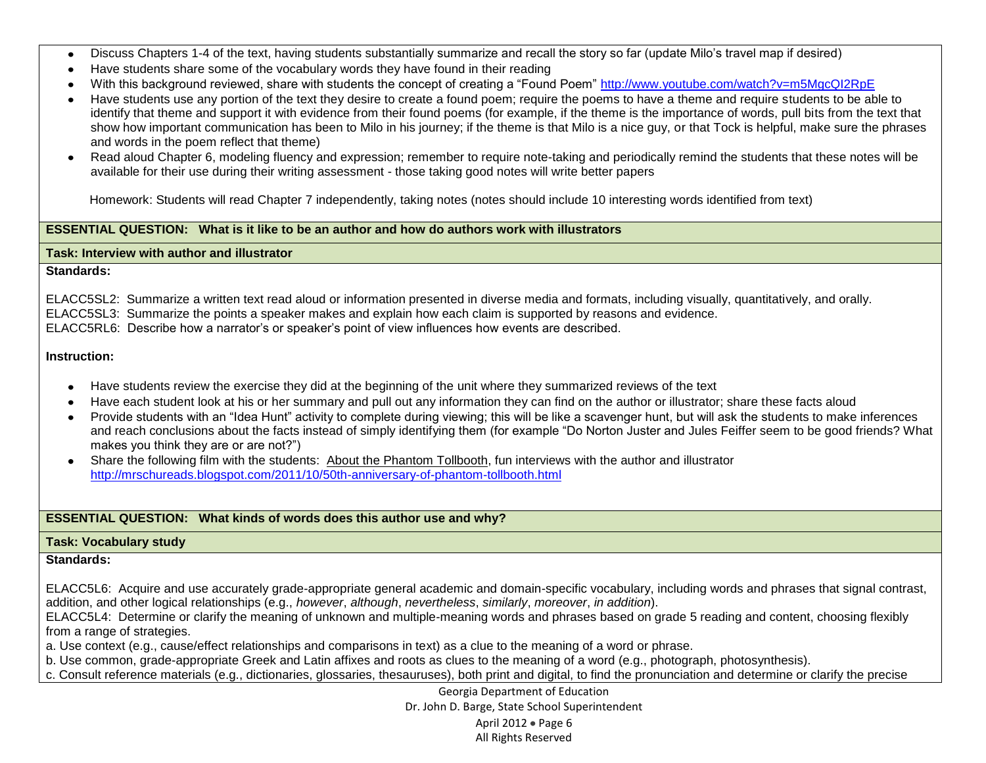- Discuss Chapters 1-4 of the text, having students substantially summarize and recall the story so far (update Milo's travel map if desired)  $\bullet$
- Have students share some of the vocabulary words they have found in their reading  $\bullet$
- With this background reviewed, share with students the concept of creating a "Found Poem"<http://www.youtube.com/watch?v=m5MgcQI2RpE>
- Have students use any portion of the text they desire to create a found poem; require the poems to have a theme and require students to be able to identify that theme and support it with evidence from their found poems (for example, if the theme is the importance of words, pull bits from the text that show how important communication has been to Milo in his journey; if the theme is that Milo is a nice guy, or that Tock is helpful, make sure the phrases and words in the poem reflect that theme)
- Read aloud Chapter 6, modeling fluency and expression; remember to require note-taking and periodically remind the students that these notes will be  $\bullet$ available for their use during their writing assessment - those taking good notes will write better papers

Homework: Students will read Chapter 7 independently, taking notes (notes should include 10 interesting words identified from text)

### **ESSENTIAL QUESTION: What is it like to be an author and how do authors work with illustrators**

#### **Task: Interview with author and illustrator**

### **Standards:**

ELACC5SL2: Summarize a written text read aloud or information presented in diverse media and formats, including visually, quantitatively, and orally. ELACC5SL3: Summarize the points a speaker makes and explain how each claim is supported by reasons and evidence. ELACC5RL6:Describe how a narrator's or speaker's point of view influences how events are described.

### **Instruction:**

- Have students review the exercise they did at the beginning of the unit where they summarized reviews of the text
- Have each student look at his or her summary and pull out any information they can find on the author or illustrator; share these facts aloud
- Provide students with an "Idea Hunt" activity to complete during viewing; this will be like a scavenger hunt, but will ask the students to make inferences and reach conclusions about the facts instead of simply identifying them (for example "Do Norton Juster and Jules Feiffer seem to be good friends? What makes you think they are or are not?")
- Share the following film with the students: About the Phantom Tollbooth, fun interviews with the author and illustrator <http://mrschureads.blogspot.com/2011/10/50th-anniversary-of-phantom-tollbooth.html>

## **ESSENTIAL QUESTION: What kinds of words does this author use and why?**

## **Task: Vocabulary study**

## **Standards:**

ELACC5L6: Acquire and use accurately grade-appropriate general academic and domain-specific vocabulary, including words and phrases that signal contrast, addition, and other logical relationships (e.g., *however*, *although*, *nevertheless*, *similarly*, *moreover*, *in addition*).

ELACC5L4: Determine or clarify the meaning of unknown and multiple-meaning words and phrases based on grade 5 reading and content, choosing flexibly from a range of strategies.

a. Use context (e.g., cause/effect relationships and comparisons in text) as a clue to the meaning of a word or phrase.

b. Use common, grade-appropriate Greek and Latin affixes and roots as clues to the meaning of a word (e.g., photograph, photosynthesis).

c. Consult reference materials (e.g., dictionaries, glossaries, thesauruses), both print and digital, to find the pronunciation and determine or clarify the precise

Georgia Department of Education Dr. John D. Barge, State School Superintendent April 2012  $\bullet$  Page 6 All Rights Reserved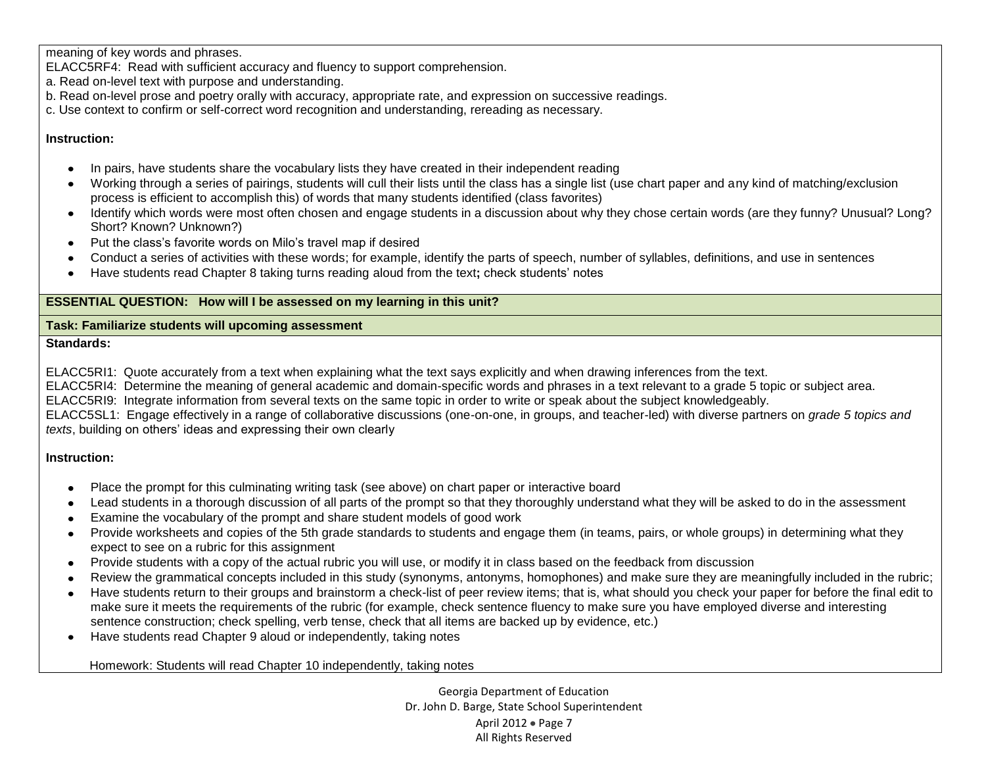meaning of key words and phrases.

ELACC5RF4: Read with sufficient accuracy and fluency to support comprehension.

- a. Read on-level text with purpose and understanding.
- b. Read on-level prose and poetry orally with accuracy, appropriate rate, and expression on successive readings.
- c. Use context to confirm or self-correct word recognition and understanding, rereading as necessary.

## **Instruction:**

- In pairs, have students share the vocabulary lists they have created in their independent reading
- Working through a series of pairings, students will cull their lists until the class has a single list (use chart paper and any kind of matching/exclusion process is efficient to accomplish this) of words that many students identified (class favorites)
- Identify which words were most often chosen and engage students in a discussion about why they chose certain words (are they funny? Unusual? Long? Short? Known? Unknown?)
- Put the class's favorite words on Milo's travel map if desired
- Conduct a series of activities with these words; for example, identify the parts of speech, number of syllables, definitions, and use in sentences
- Have students read Chapter 8 taking turns reading aloud from the text**;** check students' notes

## **ESSENTIAL QUESTION: How will I be assessed on my learning in this unit?**

## **Task: Familiarize students will upcoming assessment**

## **Standards:**

ELACC5RI1: Quote accurately from a text when explaining what the text says explicitly and when drawing inferences from the text.

ELACC5RI4: Determine the meaning of general academic and domain-specific words and phrases in a text relevant to a grade 5 topic or subject area.

ELACC5RI9: Integrate information from several texts on the same topic in order to write or speak about the subject knowledgeably.

ELACC5SL1: Engage effectively in a range of collaborative discussions (one-on-one, in groups, and teacher-led) with diverse partners on *grade 5 topics and texts*, building on others' ideas and expressing their own clearly

# **Instruction:**

- Place the prompt for this culminating writing task (see above) on chart paper or interactive board  $\bullet$
- Lead students in a thorough discussion of all parts of the prompt so that they thoroughly understand what they will be asked to do in the assessment
- Examine the vocabulary of the prompt and share student models of good work
- Provide worksheets and copies of the 5th grade standards to students and engage them (in teams, pairs, or whole groups) in determining what they expect to see on a rubric for this assignment
- Provide students with a copy of the actual rubric you will use, or modify it in class based on the feedback from discussion
- Review the grammatical concepts included in this study (synonyms, antonyms, homophones) and make sure they are meaningfully included in the rubric;  $\bullet$
- Have students return to their groups and brainstorm a check-list of peer review items; that is, what should you check your paper for before the final edit to make sure it meets the requirements of the rubric (for example, check sentence fluency to make sure you have employed diverse and interesting sentence construction; check spelling, verb tense, check that all items are backed up by evidence, etc.)
- Have students read Chapter 9 aloud or independently, taking notes

Homework: Students will read Chapter 10 independently, taking notes

Georgia Department of Education Dr. John D. Barge, State School Superintendent April 2012 . Page 7 All Rights Reserved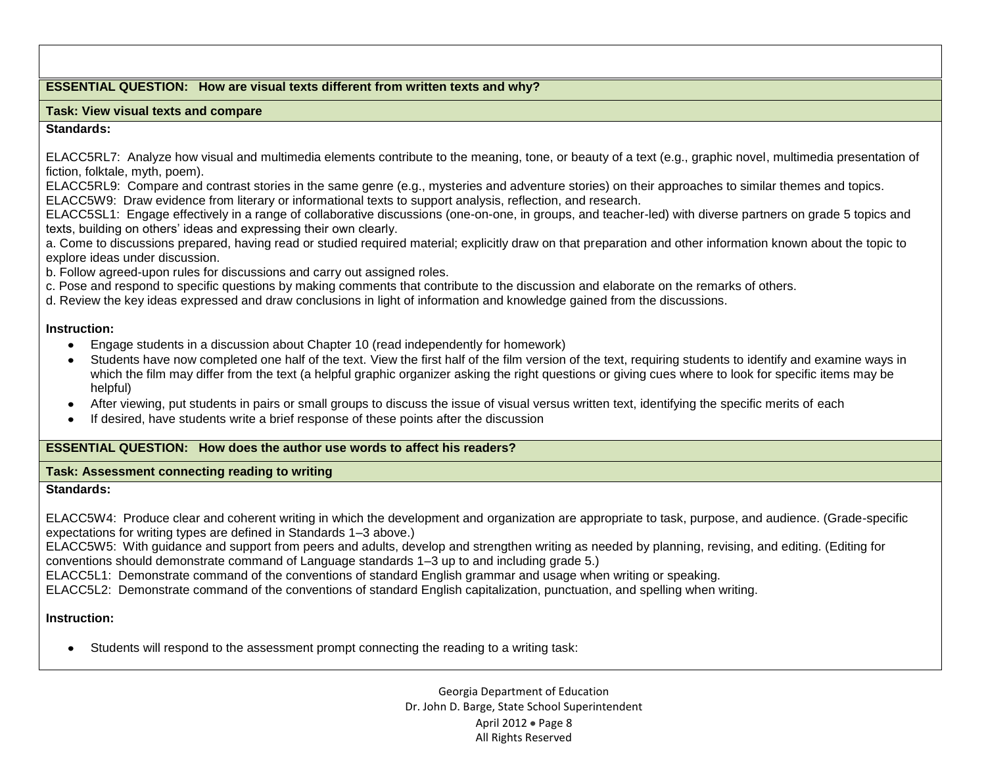### **ESSENTIAL QUESTION: How are visual texts different from written texts and why?**

#### **Task: View visual texts and compare**

### **Standards:**

ELACC5RL7: Analyze how visual and multimedia elements contribute to the meaning, tone, or beauty of a text (e.g., graphic novel, multimedia presentation of fiction, folktale, myth, poem).

ELACC5RL9: Compare and contrast stories in the same genre (e.g., mysteries and adventure stories) on their approaches to similar themes and topics. ELACC5W9: Draw evidence from literary or informational texts to support analysis, reflection, and research.

ELACC5SL1: Engage effectively in a range of collaborative discussions (one-on-one, in groups, and teacher-led) with diverse partners on grade 5 topics and texts, building on others' ideas and expressing their own clearly.

a. Come to discussions prepared, having read or studied required material; explicitly draw on that preparation and other information known about the topic to explore ideas under discussion.

b. Follow agreed-upon rules for discussions and carry out assigned roles.

c. Pose and respond to specific questions by making comments that contribute to the discussion and elaborate on the remarks of others.

d. Review the key ideas expressed and draw conclusions in light of information and knowledge gained from the discussions.

## **Instruction:**

- $\bullet$ Engage students in a discussion about Chapter 10 (read independently for homework)
- Students have now completed one half of the text. View the first half of the film version of the text, requiring students to identify and examine ways in which the film may differ from the text (a helpful graphic organizer asking the right questions or giving cues where to look for specific items may be helpful)
- After viewing, put students in pairs or small groups to discuss the issue of visual versus written text, identifying the specific merits of each
- If desired, have students write a brief response of these points after the discussion

## **ESSENTIAL QUESTION: How does the author use words to affect his readers?**

### **Task: Assessment connecting reading to writing**

### **Standards:**

ELACC5W4: Produce clear and coherent writing in which the development and organization are appropriate to task, purpose, and audience. (Grade-specific expectations for writing types are defined in Standards 1–3 above.)

ELACC5W5: With guidance and support from peers and adults, develop and strengthen writing as needed by planning, revising, and editing. (Editing for conventions should demonstrate command of Language standards 1–3 up to and including grade 5.)

ELACC5L1: Demonstrate command of the conventions of standard English grammar and usage when writing or speaking.

ELACC5L2: Demonstrate command of the conventions of standard English capitalization, punctuation, and spelling when writing.

# **Instruction:**

Students will respond to the assessment prompt connecting the reading to a writing task:

Georgia Department of Education Dr. John D. Barge, State School Superintendent April 2012  $\bullet$  Page 8 All Rights Reserved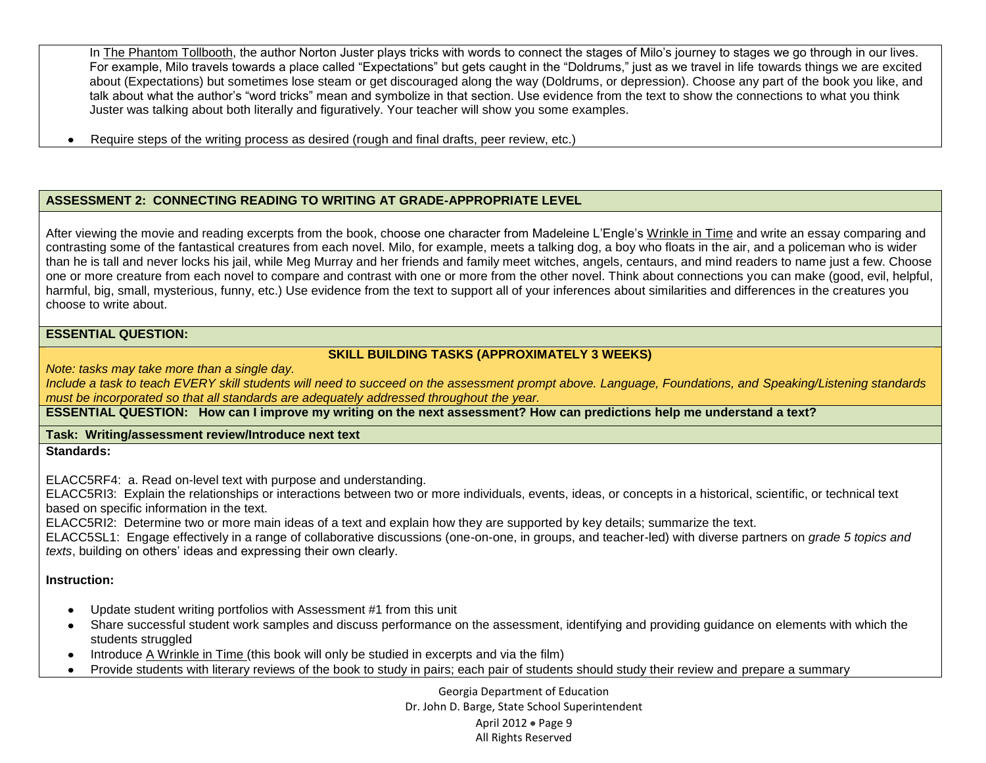In The Phantom Tollbooth, the author Norton Juster plays tricks with words to connect the stages of Milo's journey to stages we go through in our lives. For example, Milo travels towards a place called "Expectations" but gets caught in the "Doldrums," just as we travel in life towards things we are excited about (Expectations) but sometimes lose steam or get discouraged along the way (Doldrums, or depression). Choose any part of the book you like, and talk about what the author's "word tricks" mean and symbolize in that section. Use evidence from the text to show the connections to what you think Juster was talking about both literally and figuratively. Your teacher will show you some examples.

Require steps of the writing process as desired (rough and final drafts, peer review, etc.)  $\bullet$ 

# **ASSESSMENT 2: CONNECTING READING TO WRITING AT GRADE-APPROPRIATE LEVEL**

After viewing the movie and reading excerpts from the book, choose one character from Madeleine L'Engle's Wrinkle in Time and write an essay comparing and contrasting some of the fantastical creatures from each novel. Milo, for example, meets a talking dog, a boy who floats in the air, and a policeman who is wider than he is tall and never locks his jail, while Meg Murray and her friends and family meet witches, angels, centaurs, and mind readers to name just a few. Choose one or more creature from each novel to compare and contrast with one or more from the other novel. Think about connections you can make (good, evil, helpful, harmful, big, small, mysterious, funny, etc.) Use evidence from the text to support all of your inferences about similarities and differences in the creatures you choose to write about.

## **ESSENTIAL QUESTION:**

## **SKILL BUILDING TASKS (APPROXIMATELY 3 WEEKS)**

*Note: tasks may take more than a single day.* 

*Include a task to teach EVERY skill students will need to succeed on the assessment prompt above. Language, Foundations, and Speaking/Listening standards must be incorporated so that all standards are adequately addressed throughout the year.* 

**ESSENTIAL QUESTION: How can I improve my writing on the next assessment? How can predictions help me understand a text?** 

**Task: Writing/assessment review/Introduce next text Standards:**

ELACC5RF4: a. Read on-level text with purpose and understanding.

ELACC5RI3: Explain the relationships or interactions between two or more individuals, events, ideas, or concepts in a historical, scientific, or technical text based on specific information in the text.

ELACC5RI2: Determine two or more main ideas of a text and explain how they are supported by key details; summarize the text.

ELACC5SL1: Engage effectively in a range of collaborative discussions (one-on-one, in groups, and teacher-led) with diverse partners on *grade 5 topics and texts*, building on others' ideas and expressing their own clearly.

## **Instruction:**

- Update student writing portfolios with Assessment #1 from this unit
- Share successful student work samples and discuss performance on the assessment, identifying and providing guidance on elements with which the students struggled
- Introduce A Wrinkle in Time (this book will only be studied in excerpts and via the film)
- Provide students with literary reviews of the book to study in pairs; each pair of students should study their review and prepare a summary

Georgia Department of Education Dr. John D. Barge, State School Superintendent April 2012  $\bullet$  Page 9 All Rights Reserved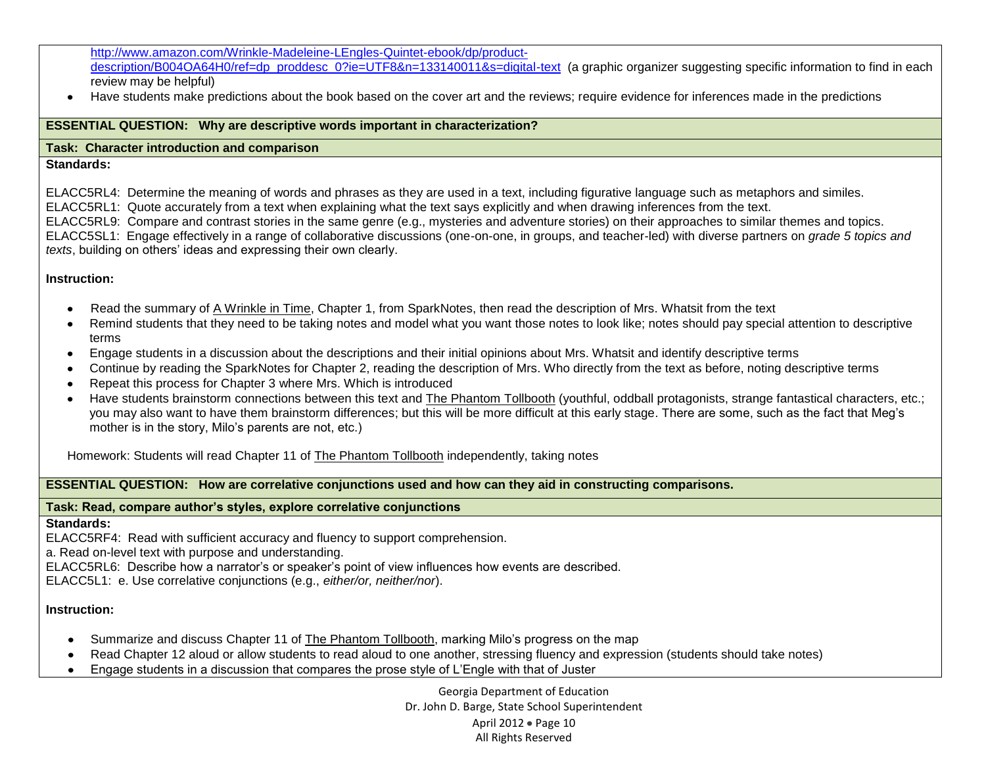### [http://www.amazon.com/Wrinkle-Madeleine-LEngles-Quintet-ebook/dp/product](http://www.amazon.com/Wrinkle-Madeleine-LEngles-Quintet-ebook/dp/product-description/B004OA64H0/ref=dp_proddesc_0?ie=UTF8&n=133140011&s=digital-text)[description/B004OA64H0/ref=dp\\_proddesc\\_0?ie=UTF8&n=133140011&s=digital-text](http://www.amazon.com/Wrinkle-Madeleine-LEngles-Quintet-ebook/dp/product-description/B004OA64H0/ref=dp_proddesc_0?ie=UTF8&n=133140011&s=digital-text) (a graphic organizer suggesting specific information to find in each review may be helpful)

Have students make predictions about the book based on the cover art and the reviews; require evidence for inferences made in the predictions

## **ESSENTIAL QUESTION: Why are descriptive words important in characterization?**

## **Task: Character introduction and comparison**

### **Standards:**

ELACC5RL4: Determine the meaning of words and phrases as they are used in a text, including figurative language such as metaphors and similes. ELACC5RL1: Quote accurately from a text when explaining what the text says explicitly and when drawing inferences from the text.

ELACC5RL9: Compare and contrast stories in the same genre (e.g., mysteries and adventure stories) on their approaches to similar themes and topics. ELACC5SL1: Engage effectively in a range of collaborative discussions (one-on-one, in groups, and teacher-led) with diverse partners on *grade 5 topics and texts*, building on others' ideas and expressing their own clearly.

## **Instruction:**

- Read the summary of A Wrinkle in Time, Chapter 1, from SparkNotes, then read the description of Mrs. Whatsit from the text  $\bullet$
- Remind students that they need to be taking notes and model what you want those notes to look like; notes should pay special attention to descriptive  $\bullet$ terms
- Engage students in a discussion about the descriptions and their initial opinions about Mrs. Whatsit and identify descriptive terms
- Continue by reading the SparkNotes for Chapter 2, reading the description of Mrs. Who directly from the text as before, noting descriptive terms
- Repeat this process for Chapter 3 where Mrs. Which is introduced
- Have students brainstorm connections between this text and The Phantom Tollbooth (youthful, oddball protagonists, strange fantastical characters, etc.; you may also want to have them brainstorm differences; but this will be more difficult at this early stage. There are some, such as the fact that Meg's mother is in the story, Milo's parents are not, etc.)

Homework: Students will read Chapter 11 of The Phantom Tollbooth independently, taking notes

### **ESSENTIAL QUESTION: How are correlative conjunctions used and how can they aid in constructing comparisons.**

## **Task: Read, compare author's styles, explore correlative conjunctions**

### **Standards:**

ELACC5RF4: Read with sufficient accuracy and fluency to support comprehension.

a. Read on-level text with purpose and understanding.

ELACC5RL6: Describe how a narrator's or speaker's point of view influences how events are described.

ELACC5L1: e. Use correlative conjunctions (e.g., *either/or, neither/nor*).

## **Instruction:**

- Summarize and discuss Chapter 11 of The Phantom Tollbooth, marking Milo's progress on the map  $\bullet$
- Read Chapter 12 aloud or allow students to read aloud to one another, stressing fluency and expression (students should take notes)  $\bullet$
- Engage students in a discussion that compares the prose style of L'Engle with that of Juster $\bullet$

Georgia Department of Education Dr. John D. Barge, State School Superintendent April 2012 • Page 10 All Rights Reserved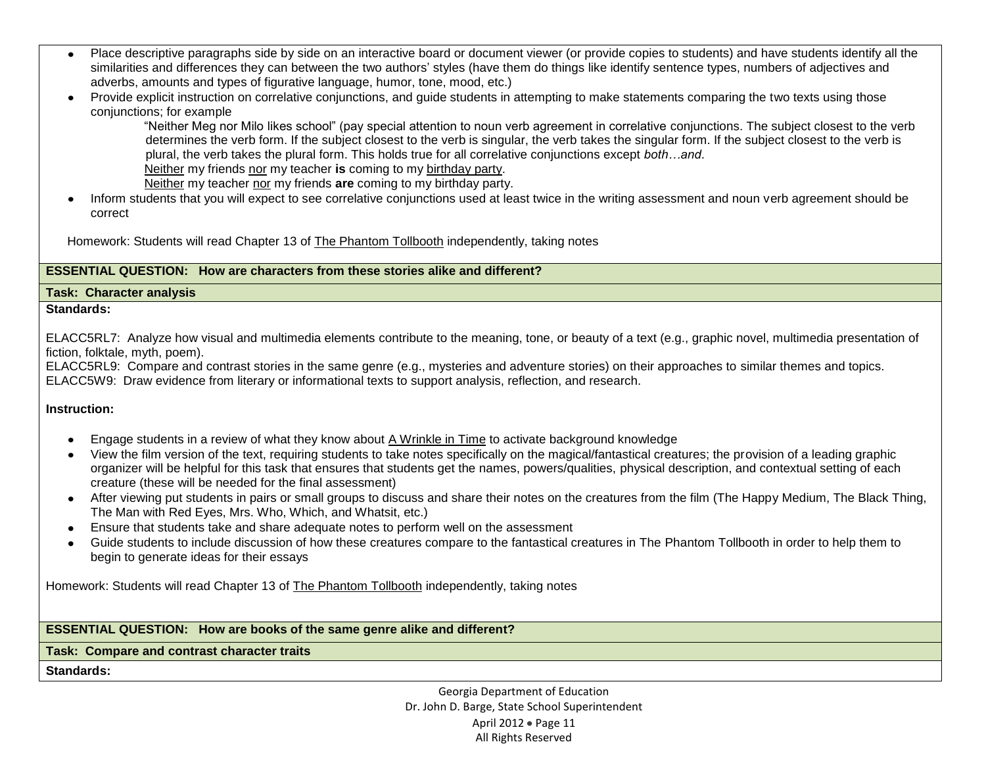- Place descriptive paragraphs side by side on an interactive board or document viewer (or provide copies to students) and have students identify all the similarities and differences they can between the two authors' styles (have them do things like identify sentence types, numbers of adjectives and adverbs, amounts and types of figurative language, humor, tone, mood, etc.)
- $\bullet$ Provide explicit instruction on correlative conjunctions, and guide students in attempting to make statements comparing the two texts using those conjunctions; for example

 "Neither Meg nor Milo likes school" (pay special attention to noun verb agreement in correlative conjunctions. The subject closest to the verb determines the verb form. If the subject closest to the verb is singular, the verb takes the singular form. If the subject closest to the verb is plural, the verb takes the plural form. This holds true for all correlative conjunctions except *both…and*. [Neither](javascript:void(0);) my friends [nor](javascript:void(0);) my teacher **is** coming to my [birthday party.](http://www.seriously-english.com/correlative-conjunctions-subject-verb-agreement/)

[Neither](javascript:void(0);) my teacher [nor](javascript:void(0);) my friends **are** coming to my birthday party.

• Inform students that you will expect to see correlative conjunctions used at least twice in the writing assessment and noun verb agreement should be correct

Homework: Students will read Chapter 13 of The Phantom Tollbooth independently, taking notes

# **ESSENTIAL QUESTION: How are characters from these stories alike and different?**

### **Task: Character analysis**

### **Standards:**

ELACC5RL7: Analyze how visual and multimedia elements contribute to the meaning, tone, or beauty of a text (e.g., graphic novel, multimedia presentation of fiction, folktale, myth, poem).

ELACC5RL9: Compare and contrast stories in the same genre (e.g., mysteries and adventure stories) on their approaches to similar themes and topics. ELACC5W9: Draw evidence from literary or informational texts to support analysis, reflection, and research.

## **Instruction:**

- Engage students in a review of what they know about A Wrinkle in Time to activate background knowledge
- View the film version of the text, requiring students to take notes specifically on the magical/fantastical creatures; the provision of a leading graphic organizer will be helpful for this task that ensures that students get the names, powers/qualities, physical description, and contextual setting of each creature (these will be needed for the final assessment)
- After viewing put students in pairs or small groups to discuss and share their notes on the creatures from the film (The Happy Medium, The Black Thing, The Man with Red Eyes, Mrs. Who, Which, and Whatsit, etc.)
- Ensure that students take and share adequate notes to perform well on the assessment
- Guide students to include discussion of how these creatures compare to the fantastical creatures in The Phantom Tollbooth in order to help them to begin to generate ideas for their essays

Homework: Students will read Chapter 13 of The Phantom Tollbooth independently, taking notes

### **ESSENTIAL QUESTION: How are books of the same genre alike and different?**

**Task: Compare and contrast character traits**

**Standards:**

Georgia Department of Education Dr. John D. Barge, State School Superintendent April 2012 • Page 11 All Rights Reserved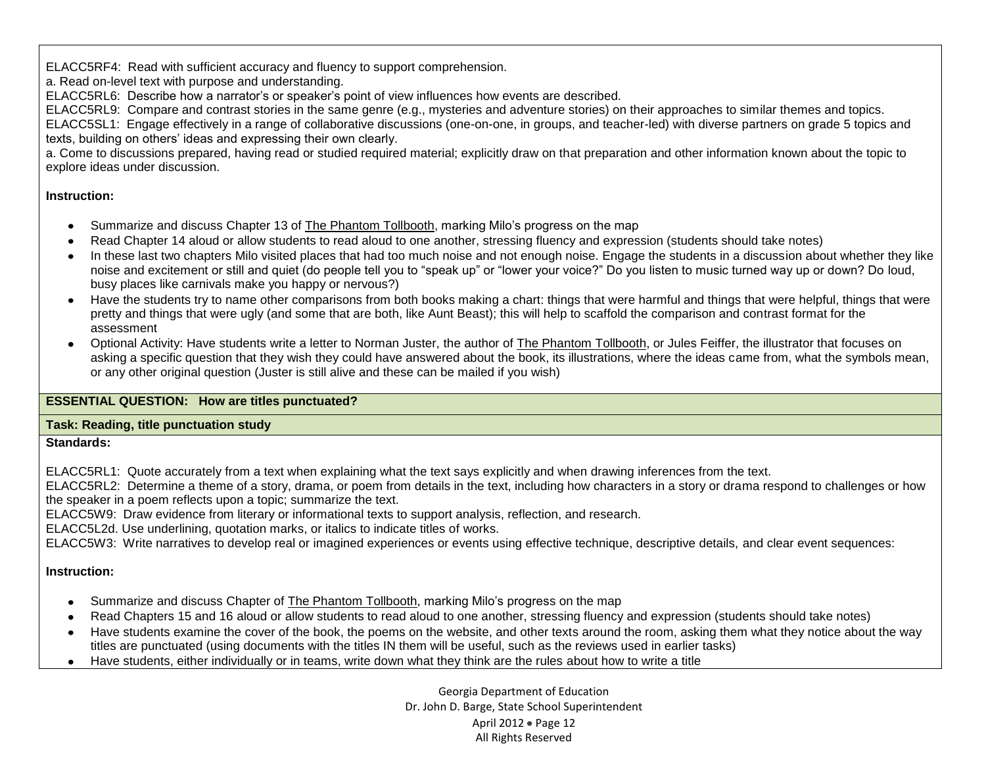ELACC5RF4: Read with sufficient accuracy and fluency to support comprehension.

a. Read on-level text with purpose and understanding.

ELACC5RL6: Describe how a narrator's or speaker's point of view influences how events are described.

ELACC5RL9: Compare and contrast stories in the same genre (e.g., mysteries and adventure stories) on their approaches to similar themes and topics.

ELACC5SL1: Engage effectively in a range of collaborative discussions (one-on-one, in groups, and teacher-led) with diverse partners on grade 5 topics and texts, building on others' ideas and expressing their own clearly.

a. Come to discussions prepared, having read or studied required material; explicitly draw on that preparation and other information known about the topic to explore ideas under discussion.

# **Instruction:**

- Summarize and discuss Chapter 13 of The Phantom Tollbooth, marking Milo's progress on the map
- Read Chapter 14 aloud or allow students to read aloud to one another, stressing fluency and expression (students should take notes)
- In these last two chapters Milo visited places that had too much noise and not enough noise. Engage the students in a discussion about whether they like noise and excitement or still and quiet (do people tell you to "speak up" or "lower your voice?" Do you listen to music turned way up or down? Do loud, busy places like carnivals make you happy or nervous?)
- Have the students try to name other comparisons from both books making a chart: things that were harmful and things that were helpful, things that were  $\bullet$ pretty and things that were ugly (and some that are both, like Aunt Beast); this will help to scaffold the comparison and contrast format for the assessment
- Optional Activity: Have students write a letter to Norman Juster, the author of The Phantom Tollbooth, or Jules Feiffer, the illustrator that focuses on asking a specific question that they wish they could have answered about the book, its illustrations, where the ideas came from, what the symbols mean, or any other original question (Juster is still alive and these can be mailed if you wish)

# **ESSENTIAL QUESTION: How are titles punctuated?**

# **Task: Reading, title punctuation study**

**Standards:** 

ELACC5RL1: Quote accurately from a text when explaining what the text says explicitly and when drawing inferences from the text.

ELACC5RL2: Determine a theme of a story, drama, or poem from details in the text, including how characters in a story or drama respond to challenges or how the speaker in a poem reflects upon a topic; summarize the text.

ELACC5W9: Draw evidence from literary or informational texts to support analysis, reflection, and research.

ELACC5L2d. Use underlining, quotation marks, or italics to indicate titles of works.

ELACC5W3: Write narratives to develop real or imagined experiences or events using effective technique, descriptive details, and clear event sequences:

# **Instruction:**

- Summarize and discuss Chapter of **The Phantom Tollbooth**, marking Milo's progress on the map
- Read Chapters 15 and 16 aloud or allow students to read aloud to one another, stressing fluency and expression (students should take notes)
- Have students examine the cover of the book, the poems on the website, and other texts around the room, asking them what they notice about the way titles are punctuated (using documents with the titles IN them will be useful, such as the reviews used in earlier tasks)
- Have students, either individually or in teams, write down what they think are the rules about how to write a title

Georgia Department of Education Dr. John D. Barge, State School Superintendent April 2012 • Page 12 All Rights Reserved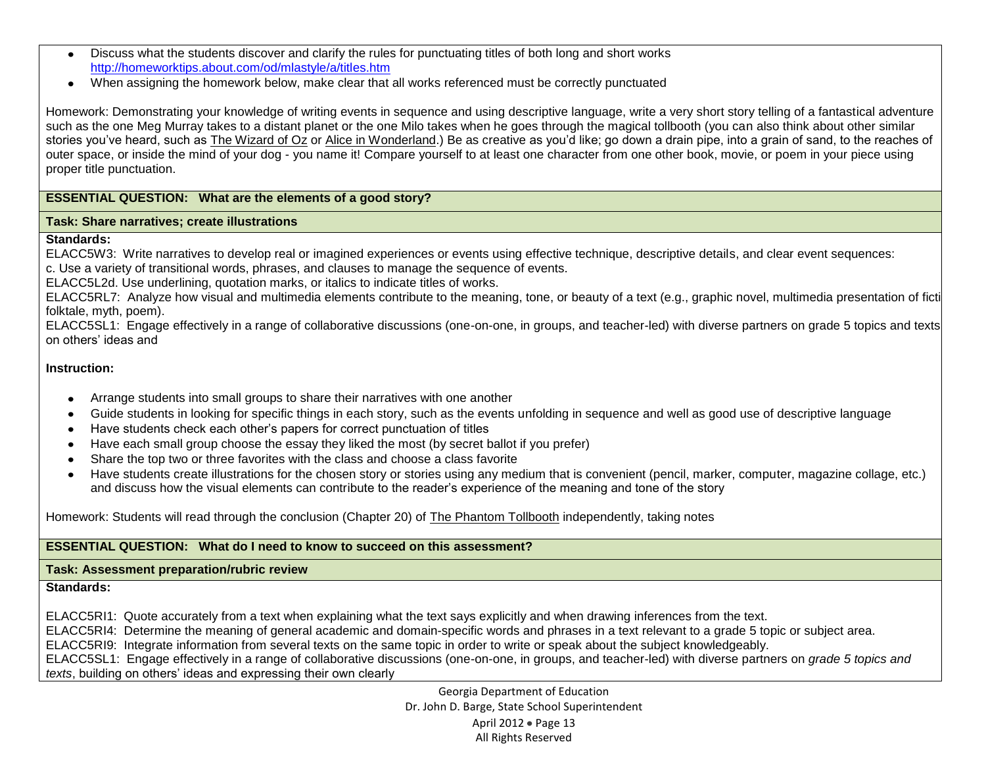- Discuss what the students discover and clarify the rules for punctuating titles of both long and short works  $\bullet$ <http://homeworktips.about.com/od/mlastyle/a/titles.htm>
- When assigning the homework below, make clear that all works referenced must be correctly punctuated

Homework: Demonstrating your knowledge of writing events in sequence and using descriptive language, write a very short story telling of a fantastical adventure such as the one Meg Murray takes to a distant planet or the one Milo takes when he goes through the magical tollbooth (you can also think about other similar stories you've heard, such as The Wizard of Oz or Alice in Wonderland.) Be as creative as you'd like; go down a drain pipe, into a grain of sand, to the reaches of outer space, or inside the mind of your dog - you name it! Compare yourself to at least one character from one other book, movie, or poem in your piece using proper title punctuation.

## **ESSENTIAL QUESTION: What are the elements of a good story?**

#### **Task: Share narratives; create illustrations**

#### **Standards:**

ELACC5W3: Write narratives to develop real or imagined experiences or events using effective technique, descriptive details, and clear event sequences: c. Use a variety of transitional words, phrases, and clauses to manage the sequence of events.

ELACC5L2d. Use underlining, quotation marks, or italics to indicate titles of works.

ELACC5RL7: Analyze how visual and multimedia elements contribute to the meaning, tone, or beauty of a text (e.g., graphic novel, multimedia presentation of ficti folktale, myth, poem).

ELACC5SL1: Engage effectively in a range of collaborative discussions (one-on-one, in groups, and teacher-led) with diverse partners on grade 5 topics and texts on others' ideas and

## **Instruction:**

- Arrange students into small groups to share their narratives with one another
- Guide students in looking for specific things in each story, such as the events unfolding in sequence and well as good use of descriptive language
- Have students check each other's papers for correct punctuation of titles
- Have each small group choose the essay they liked the most (by secret ballot if you prefer)  $\bullet$
- Share the top two or three favorites with the class and choose a class favorite  $\bullet$
- Have students create illustrations for the chosen story or stories using any medium that is convenient (pencil, marker, computer, magazine collage, etc.)  $\bullet$ and discuss how the visual elements can contribute to the reader's experience of the meaning and tone of the story

## Homework: Students will read through the conclusion (Chapter 20) of The Phantom Tollbooth independently, taking notes

## **ESSENTIAL QUESTION: What do I need to know to succeed on this assessment?**

## **Task: Assessment preparation/rubric review**

## **Standards:**

ELACC5RI1: Quote accurately from a text when explaining what the text says explicitly and when drawing inferences from the text.

ELACC5RI4: Determine the meaning of general academic and domain-specific words and phrases in a text relevant to a grade 5 topic or subject area.

ELACC5RI9: Integrate information from several texts on the same topic in order to write or speak about the subject knowledgeably.

ELACC5SL1: Engage effectively in a range of collaborative discussions (one-on-one, in groups, and teacher-led) with diverse partners on *grade 5 topics and texts*, building on others' ideas and expressing their own clearly

> Georgia Department of Education Dr. John D. Barge, State School Superintendent April 2012 • Page 13 All Rights Reserved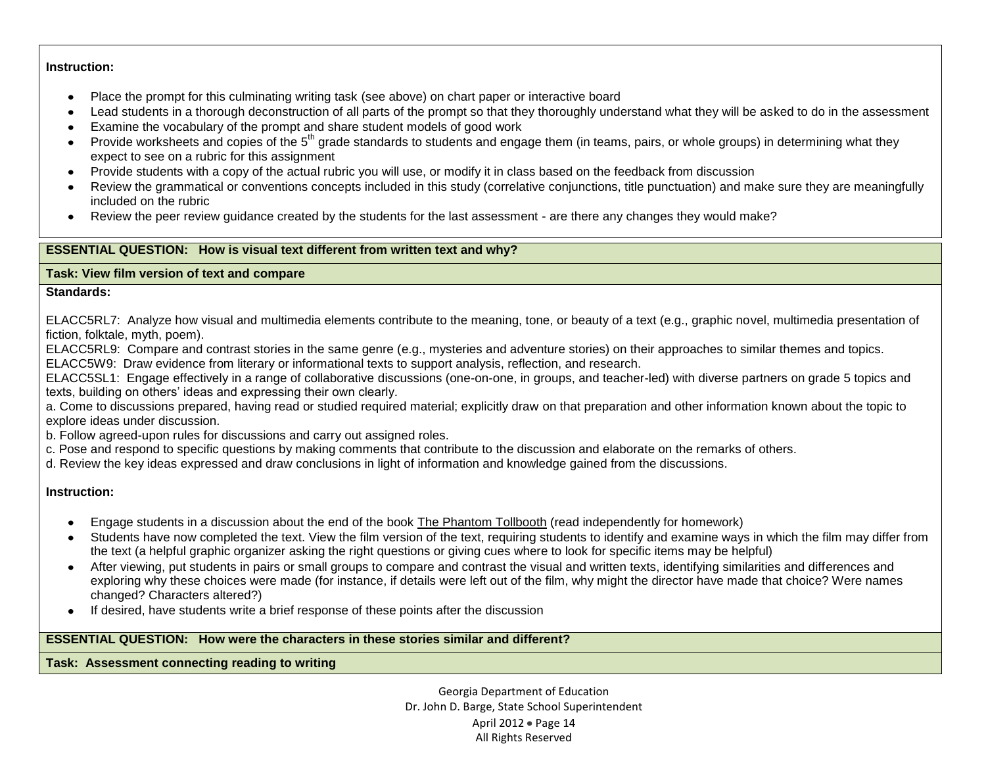### **Instruction:**

- Place the prompt for this culminating writing task (see above) on chart paper or interactive board  $\bullet$
- Lead students in a thorough deconstruction of all parts of the prompt so that they thoroughly understand what they will be asked to do in the assessment
- Examine the vocabulary of the prompt and share student models of good work  $\bullet$
- Provide worksheets and copies of the 5<sup>th</sup> grade standards to students and engage them (in teams, pairs, or whole groups) in determining what they expect to see on a rubric for this assignment
- Provide students with a copy of the actual rubric you will use, or modify it in class based on the feedback from discussion
- Review the grammatical or conventions concepts included in this study (correlative conjunctions, title punctuation) and make sure they are meaningfully included on the rubric
- Review the peer review guidance created by the students for the last assessment are there any changes they would make?

## **ESSENTIAL QUESTION: How is visual text different from written text and why?**

## **Task: View film version of text and compare**

## **Standards:**

ELACC5RL7: Analyze how visual and multimedia elements contribute to the meaning, tone, or beauty of a text (e.g., graphic novel, multimedia presentation of fiction, folktale, myth, poem).

ELACC5RL9: Compare and contrast stories in the same genre (e.g., mysteries and adventure stories) on their approaches to similar themes and topics. ELACC5W9: Draw evidence from literary or informational texts to support analysis, reflection, and research.

ELACC5SL1: Engage effectively in a range of collaborative discussions (one-on-one, in groups, and teacher-led) with diverse partners on grade 5 topics and texts, building on others' ideas and expressing their own clearly.

a. Come to discussions prepared, having read or studied required material; explicitly draw on that preparation and other information known about the topic to explore ideas under discussion.

b. Follow agreed-upon rules for discussions and carry out assigned roles.

c. Pose and respond to specific questions by making comments that contribute to the discussion and elaborate on the remarks of others.

d. Review the key ideas expressed and draw conclusions in light of information and knowledge gained from the discussions.

# **Instruction:**

- Engage students in a discussion about the end of the book The Phantom Tollbooth (read independently for homework)
- Students have now completed the text. View the film version of the text, requiring students to identify and examine ways in which the film may differ from the text (a helpful graphic organizer asking the right questions or giving cues where to look for specific items may be helpful)
- After viewing, put students in pairs or small groups to compare and contrast the visual and written texts, identifying similarities and differences and exploring why these choices were made (for instance, if details were left out of the film, why might the director have made that choice? Were names changed? Characters altered?)
- If desired, have students write a brief response of these points after the discussion

## **ESSENTIAL QUESTION: How were the characters in these stories similar and different?**

**Task: Assessment connecting reading to writing** 

Georgia Department of Education Dr. John D. Barge, State School Superintendent April 2012 • Page 14 All Rights Reserved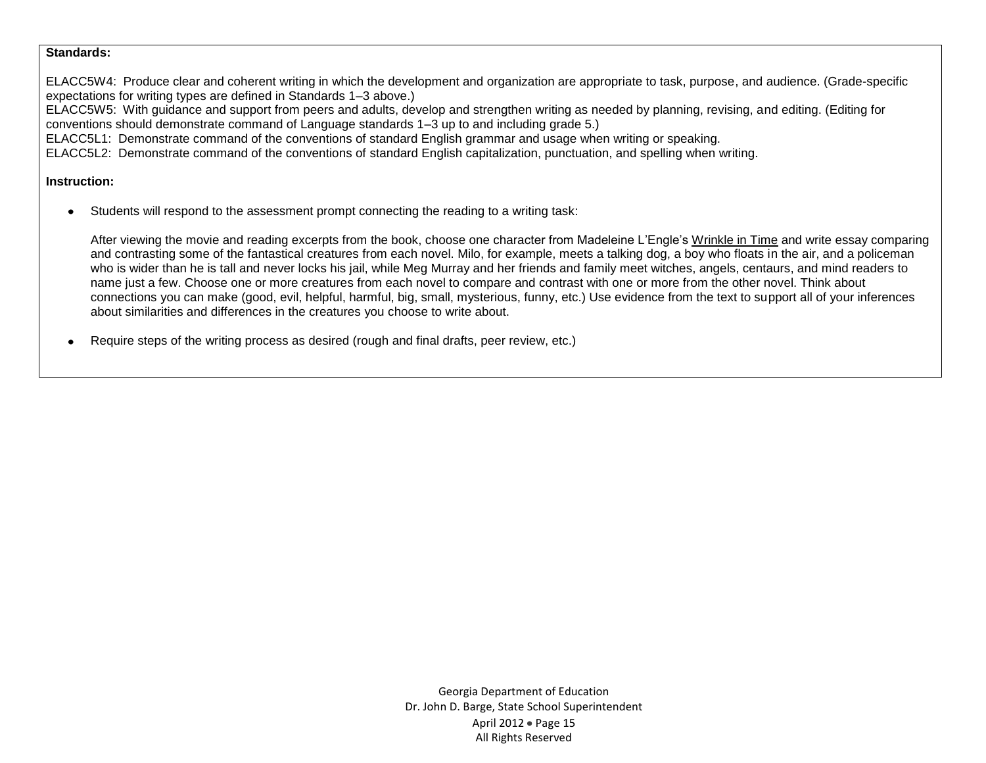#### **Standards:**

ELACC5W4: Produce clear and coherent writing in which the development and organization are appropriate to task, purpose, and audience. (Grade-specific expectations for writing types are defined in Standards 1–3 above.)

ELACC5W5: With guidance and support from peers and adults, develop and strengthen writing as needed by planning, revising, and editing. (Editing for conventions should demonstrate command of Language standards 1–3 up to and including grade 5.)

ELACC5L1: Demonstrate command of the conventions of standard English grammar and usage when writing or speaking.

ELACC5L2: Demonstrate command of the conventions of standard English capitalization, punctuation, and spelling when writing.

### **Instruction:**

Students will respond to the assessment prompt connecting the reading to a writing task:  $\bullet$ 

After viewing the movie and reading excerpts from the book, choose one character from Madeleine L'Engle's Wrinkle in Time and write essay comparing and contrasting some of the fantastical creatures from each novel. Milo, for example, meets a talking dog, a boy who floats in the air, and a policeman who is wider than he is tall and never locks his jail, while Meg Murray and her friends and family meet witches, angels, centaurs, and mind readers to name just a few. Choose one or more creatures from each novel to compare and contrast with one or more from the other novel. Think about connections you can make (good, evil, helpful, harmful, big, small, mysterious, funny, etc.) Use evidence from the text to support all of your inferences about similarities and differences in the creatures you choose to write about.

Require steps of the writing process as desired (rough and final drafts, peer review, etc.)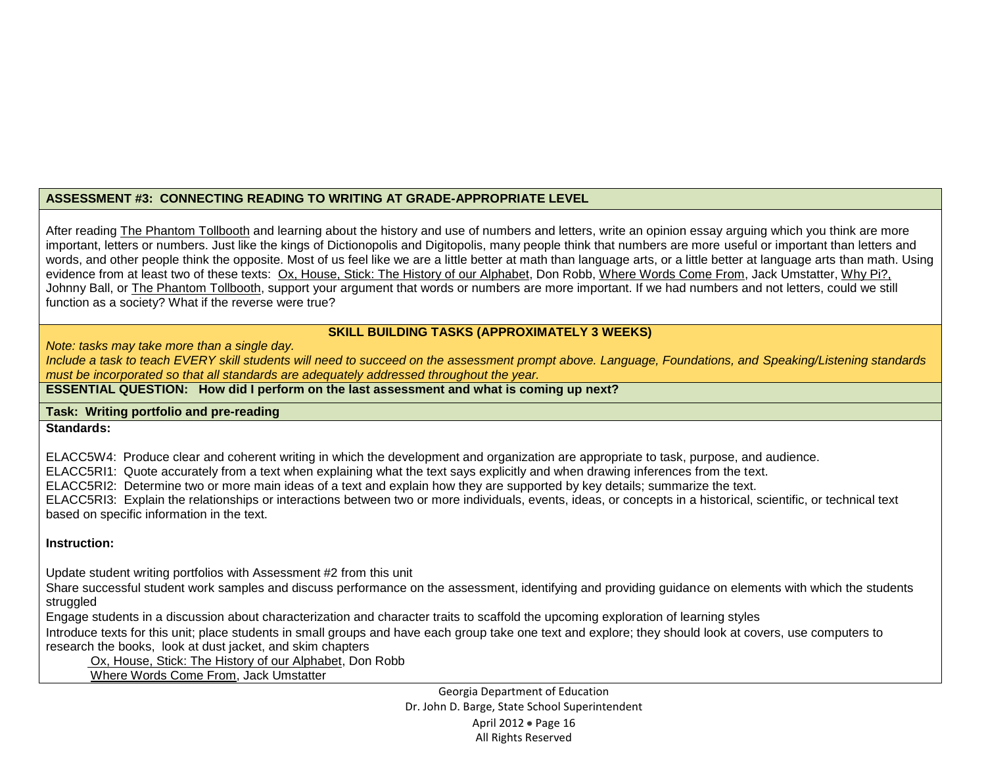### **ASSESSMENT #3: CONNECTING READING TO WRITING AT GRADE-APPROPRIATE LEVEL**

After reading The Phantom Tollbooth and learning about the history and use of numbers and letters, write an opinion essay arguing which you think are more important, letters or numbers. Just like the kings of Dictionopolis and Digitopolis, many people think that numbers are more useful or important than letters and words, and other people think the opposite. Most of us feel like we are a little better at math than language arts, or a little better at language arts than math. Using evidence from at least two of these texts: Ox, House, Stick: The History of our Alphabet, Don Robb, Where Words Come From, Jack Umstatter, Why Pi?, Johnny Ball, or The Phantom Tollbooth, support your argument that words or numbers are more important. If we had numbers and not letters, could we still function as a society? What if the reverse were true?

# **SKILL BUILDING TASKS (APPROXIMATELY 3 WEEKS)**

*Note: tasks may take more than a single day.* 

*Include a task to teach EVERY skill students will need to succeed on the assessment prompt above. Language, Foundations, and Speaking/Listening standards must be incorporated so that all standards are adequately addressed throughout the year.* 

## **ESSENTIAL QUESTION: How did I perform on the last assessment and what is coming up next?**

### **Task: Writing portfolio and pre-reading**

#### **Standards:**

ELACC5W4: Produce clear and coherent writing in which the development and organization are appropriate to task, purpose, and audience.

ELACC5RI1: Quote accurately from a text when explaining what the text says explicitly and when drawing inferences from the text.

ELACC5RI2: Determine two or more main ideas of a text and explain how they are supported by key details; summarize the text.

ELACC5RI3: Explain the relationships or interactions between two or more individuals, events, ideas, or concepts in a historical, scientific, or technical text based on specific information in the text.

## **Instruction:**

Update student writing portfolios with Assessment #2 from this unit

Share successful student work samples and discuss performance on the assessment, identifying and providing guidance on elements with which the students struggled

Engage students in a discussion about characterization and character traits to scaffold the upcoming exploration of learning styles

Introduce texts for this unit; place students in small groups and have each group take one text and explore; they should look at covers, use computers to research the books, look at dust jacket, and skim chapters

Ox, House, Stick: The History of our Alphabet, Don Robb

Where Words Come From, Jack Umstatter

Georgia Department of Education Dr. John D. Barge, State School Superintendent April 2012 • Page 16 All Rights Reserved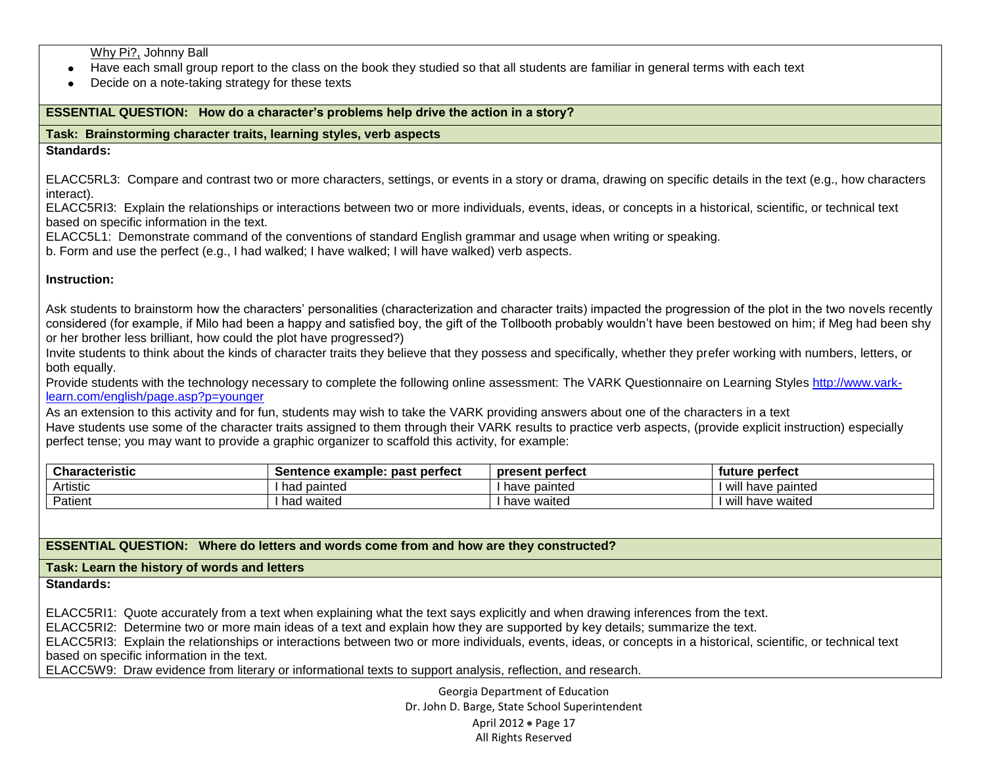Why Pi?, Johnny Ball

- Have each small group report to the class on the book they studied so that all students are familiar in general terms with each text
- Decide on a note-taking strategy for these texts  $\bullet$

### **ESSENTIAL QUESTION: How do a character's problems help drive the action in a story?**

## **Task: Brainstorming character traits, learning styles, verb aspects**

#### **Standards:**

ELACC5RL3: Compare and contrast two or more characters, settings, or events in a story or drama, drawing on specific details in the text (e.g., how characters interact).

ELACC5RI3: Explain the relationships or interactions between two or more individuals, events, ideas, or concepts in a historical, scientific, or technical text based on specific information in the text.

ELACC5L1: Demonstrate command of the conventions of standard English grammar and usage when writing or speaking.

b. Form and use the perfect (e.g., I had walked; I have walked; I will have walked) verb aspects.

### **Instruction:**

Ask students to brainstorm how the characters' personalities (characterization and character traits) impacted the progression of the plot in the two novels recently considered (for example, if Milo had been a happy and satisfied boy, the gift of the Tollbooth probably wouldn't have been bestowed on him; if Meg had been shy or her brother less brilliant, how could the plot have progressed?)

Invite students to think about the kinds of character traits they believe that they possess and specifically, whether they prefer working with numbers, letters, or both equally.

Provide students with the technology necessary to complete the following online assessment: The VARK Questionnaire on Learning Styles [http://www.vark](http://www.vark-learn.com/english/page.asp?p=younger)[learn.com/english/page.asp?p=younger](http://www.vark-learn.com/english/page.asp?p=younger) 

As an extension to this activity and for fun, students may wish to take the VARK providing answers about one of the characters in a text Have students use some of the character traits assigned to them through their VARK results to practice verb aspects, (provide explicit instruction) especially perfect tense; you may want to provide a graphic organizer to scaffold this activity, for example:

| <b>Characteristic</b> | past perfect<br>Sentence example: | present perfect | tuture perfect            |
|-----------------------|-----------------------------------|-----------------|---------------------------|
| Artistic              | nainted<br>' ha⊾                  | have painted    | .<br>have painted<br>Wili |
| Patient               | waited<br>` ha⊾                   | have waited     | have waited<br>WII        |

## **ESSENTIAL QUESTION: Where do letters and words come from and how are they constructed?**

### **Task: Learn the history of words and letters**

**Standards:** 

ELACC5RI1: Quote accurately from a text when explaining what the text says explicitly and when drawing inferences from the text.

ELACC5RI2: Determine two or more main ideas of a text and explain how they are supported by key details; summarize the text.

ELACC5RI3: Explain the relationships or interactions between two or more individuals, events, ideas, or concepts in a historical, scientific, or technical text based on specific information in the text.

ELACC5W9: Draw evidence from literary or informational texts to support analysis, reflection, and research.

Georgia Department of Education Dr. John D. Barge, State School Superintendent April 2012 • Page 17 All Rights Reserved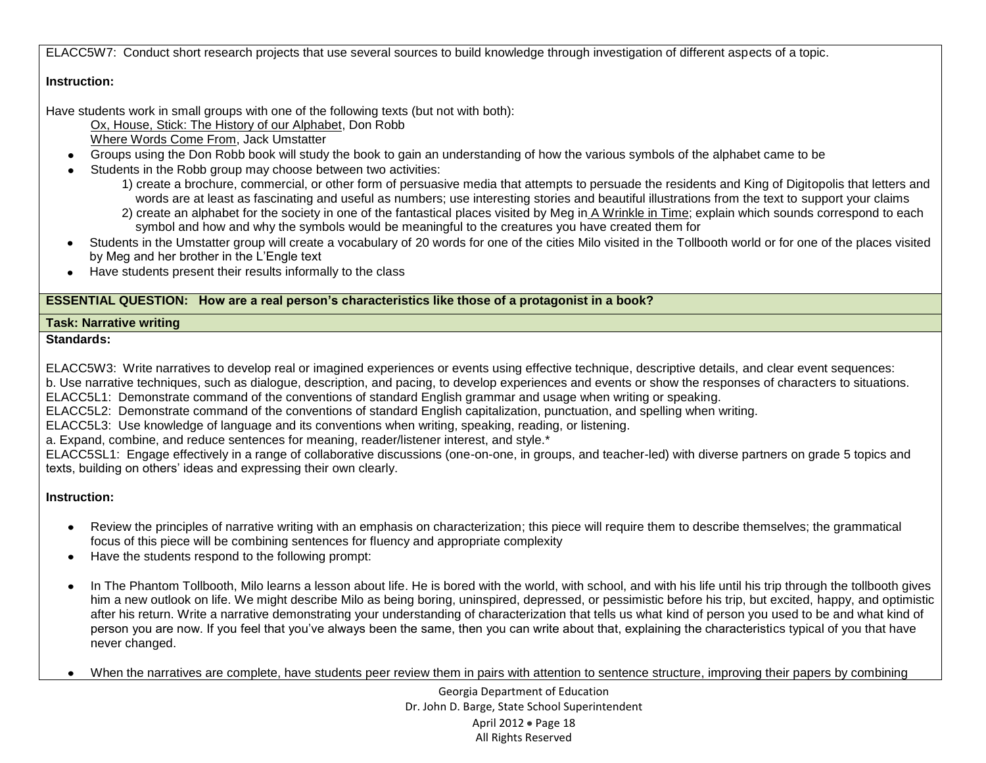ELACC5W7: Conduct short research projects that use several sources to build knowledge through investigation of different aspects of a topic.

# **Instruction:**

Have students work in small groups with one of the following texts (but not with both):

 Ox, House, Stick: The History of our Alphabet, Don Robb Where Words Come From, Jack Umstatter

- Groups using the Don Robb book will study the book to gain an understanding of how the various symbols of the alphabet came to be
- Students in the Robb group may choose between two activities:
	- 1) create a brochure, commercial, or other form of persuasive media that attempts to persuade the residents and King of Digitopolis that letters and words are at least as fascinating and useful as numbers; use interesting stories and beautiful illustrations from the text to support your claims 2) create an alphabet for the society in one of the fantastical places visited by Meg in A Wrinkle in Time; explain which sounds correspond to each
		- symbol and how and why the symbols would be meaningful to the creatures you have created them for
- Students in the Umstatter group will create a vocabulary of 20 words for one of the cities Milo visited in the Tollbooth world or for one of the places visited by Meg and her brother in the L'Engle text
- Have students present their results informally to the class

## **ESSENTIAL QUESTION: How are a real person's characteristics like those of a protagonist in a book?**

## **Task: Narrative writing**

## **Standards:**

ELACC5W3: Write narratives to develop real or imagined experiences or events using effective technique, descriptive details, and clear event sequences: b. Use narrative techniques, such as dialogue, description, and pacing, to develop experiences and events or show the responses of characters to situations.

ELACC5L1: Demonstrate command of the conventions of standard English grammar and usage when writing or speaking.

ELACC5L2: Demonstrate command of the conventions of standard English capitalization, punctuation, and spelling when writing.

ELACC5L3: Use knowledge of language and its conventions when writing, speaking, reading, or listening.

a. Expand, combine, and reduce sentences for meaning, reader/listener interest, and style.\*

ELACC5SL1: Engage effectively in a range of collaborative discussions (one-on-one, in groups, and teacher-led) with diverse partners on grade 5 topics and texts, building on others' ideas and expressing their own clearly.

# **Instruction:**

- Review the principles of narrative writing with an emphasis on characterization; this piece will require them to describe themselves; the grammatical focus of this piece will be combining sentences for fluency and appropriate complexity
- Have the students respond to the following prompt:
- In The Phantom Tollbooth, Milo learns a lesson about life. He is bored with the world, with school, and with his life until his trip through the tollbooth gives  $\bullet$ him a new outlook on life. We might describe Milo as being boring, uninspired, depressed, or pessimistic before his trip, but excited, happy, and optimistic after his return. Write a narrative demonstrating your understanding of characterization that tells us what kind of person you used to be and what kind of person you are now. If you feel that you've always been the same, then you can write about that, explaining the characteristics typical of you that have never changed.

When the narratives are complete, have students peer review them in pairs with attention to sentence structure, improving their papers by combining

Georgia Department of Education Dr. John D. Barge, State School Superintendent April 2012 • Page 18 All Rights Reserved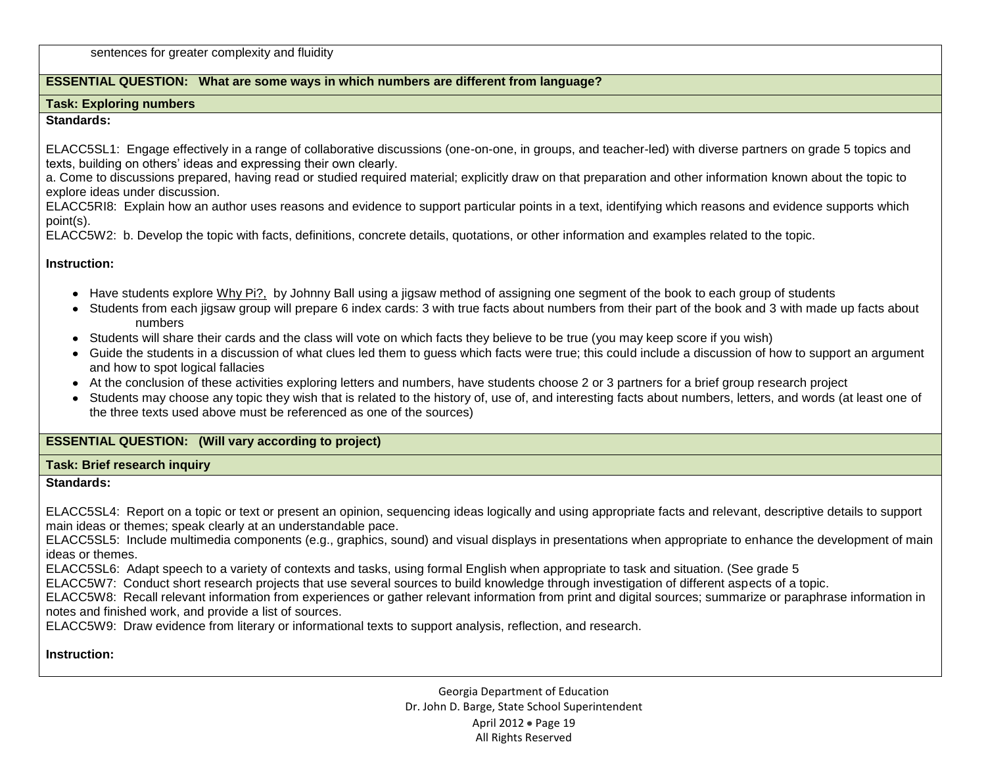sentences for greater complexity and fluidity

## **ESSENTIAL QUESTION: What are some ways in which numbers are different from language?**

#### **Task: Exploring numbers**

### **Standards:**

ELACC5SL1: Engage effectively in a range of collaborative discussions (one-on-one, in groups, and teacher-led) with diverse partners on grade 5 topics and texts, building on others' ideas and expressing their own clearly.

a. Come to discussions prepared, having read or studied required material; explicitly draw on that preparation and other information known about the topic to explore ideas under discussion.

ELACC5RI8: Explain how an author uses reasons and evidence to support particular points in a text, identifying which reasons and evidence supports which point(s).

ELACC5W2: b. Develop the topic with facts, definitions, concrete details, quotations, or other information and examples related to the topic.

### **Instruction:**

- Have students explore Why Pi?, by Johnny Ball using a jigsaw method of assigning one segment of the book to each group of students
- Students from each iigsaw group will prepare 6 index cards: 3 with true facts about numbers from their part of the book and 3 with made up facts about numbers
- Students will share their cards and the class will vote on which facts they believe to be true (you may keep score if you wish)
- Guide the students in a discussion of what clues led them to guess which facts were true; this could include a discussion of how to support an argument and how to spot logical fallacies
- At the conclusion of these activities exploring letters and numbers, have students choose 2 or 3 partners for a brief group research project
- Students may choose any topic they wish that is related to the history of, use of, and interesting facts about numbers, letters, and words (at least one of the three texts used above must be referenced as one of the sources)

## **ESSENTIAL QUESTION: (Will vary according to project)**

### **Task: Brief research inquiry**

### **Standards:**

ELACC5SL4: Report on a topic or text or present an opinion, sequencing ideas logically and using appropriate facts and relevant, descriptive details to support main ideas or themes; speak clearly at an understandable pace.

ELACC5SL5: Include multimedia components (e.g., graphics, sound) and visual displays in presentations when appropriate to enhance the development of main ideas or themes.

ELACC5SL6: Adapt speech to a variety of contexts and tasks, using formal English when appropriate to task and situation. (See grade 5

ELACC5W7: Conduct short research projects that use several sources to build knowledge through investigation of different aspects of a topic.

ELACC5W8: Recall relevant information from experiences or gather relevant information from print and digital sources; summarize or paraphrase information in notes and finished work, and provide a list of sources.

ELACC5W9: Draw evidence from literary or informational texts to support analysis, reflection, and research.

## **Instruction:**

Georgia Department of Education Dr. John D. Barge, State School Superintendent April 2012 · Page 19 All Rights Reserved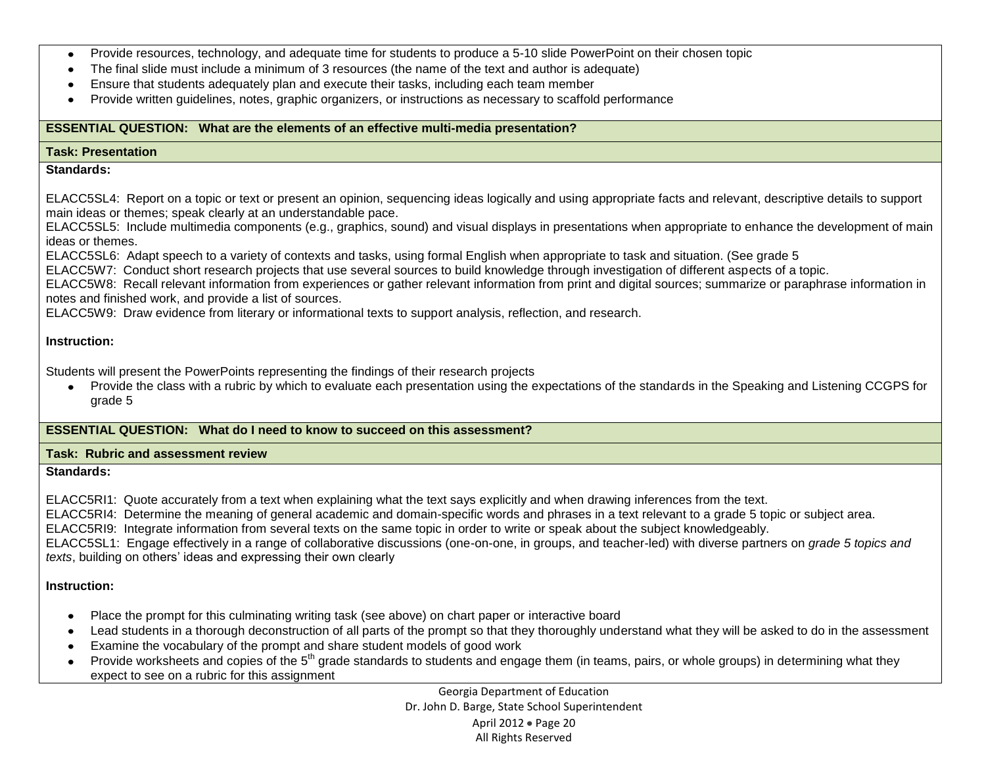- Provide resources, technology, and adequate time for students to produce a 5-10 slide PowerPoint on their chosen topic
- The final slide must include a minimum of 3 resources (the name of the text and author is adequate)
- Ensure that students adequately plan and execute their tasks, including each team member
- Provide written guidelines, notes, graphic organizers, or instructions as necessary to scaffold performance

## **ESSENTIAL QUESTION: What are the elements of an effective multi-media presentation?**

#### **Task: Presentation**

#### **Standards:**

ELACC5SL4: Report on a topic or text or present an opinion, sequencing ideas logically and using appropriate facts and relevant, descriptive details to support main ideas or themes; speak clearly at an understandable pace.

ELACC5SL5: Include multimedia components (e.g., graphics, sound) and visual displays in presentations when appropriate to enhance the development of main ideas or themes.

ELACC5SL6: Adapt speech to a variety of contexts and tasks, using formal English when appropriate to task and situation. (See grade 5

ELACC5W7: Conduct short research projects that use several sources to build knowledge through investigation of different aspects of a topic.

ELACC5W8: Recall relevant information from experiences or gather relevant information from print and digital sources; summarize or paraphrase information in notes and finished work, and provide a list of sources.

ELACC5W9: Draw evidence from literary or informational texts to support analysis, reflection, and research.

### **Instruction:**

Students will present the PowerPoints representing the findings of their research projects

Provide the class with a rubric by which to evaluate each presentation using the expectations of the standards in the Speaking and Listening CCGPS for  $\bullet$ grade 5

## **ESSENTIAL QUESTION: What do I need to know to succeed on this assessment?**

#### **Task: Rubric and assessment review**

#### **Standards:**

ELACC5RI1: Quote accurately from a text when explaining what the text says explicitly and when drawing inferences from the text.

ELACC5RI4: Determine the meaning of general academic and domain-specific words and phrases in a text relevant to a grade 5 topic or subject area.

ELACC5RI9: Integrate information from several texts on the same topic in order to write or speak about the subject knowledgeably.

ELACC5SL1: Engage effectively in a range of collaborative discussions (one-on-one, in groups, and teacher-led) with diverse partners on *grade 5 topics and texts*, building on others' ideas and expressing their own clearly

## **Instruction:**

- Place the prompt for this culminating writing task (see above) on chart paper or interactive board
- Lead students in a thorough deconstruction of all parts of the prompt so that they thoroughly understand what they will be asked to do in the assessment
- Examine the vocabulary of the prompt and share student models of good work  $\bullet$
- Provide worksheets and copies of the 5<sup>th</sup> grade standards to students and engage them (in teams, pairs, or whole groups) in determining what they  $\bullet$ expect to see on a rubric for this assignment

Georgia Department of Education Dr. John D. Barge, State School Superintendent April 2012 · Page 20 All Rights Reserved